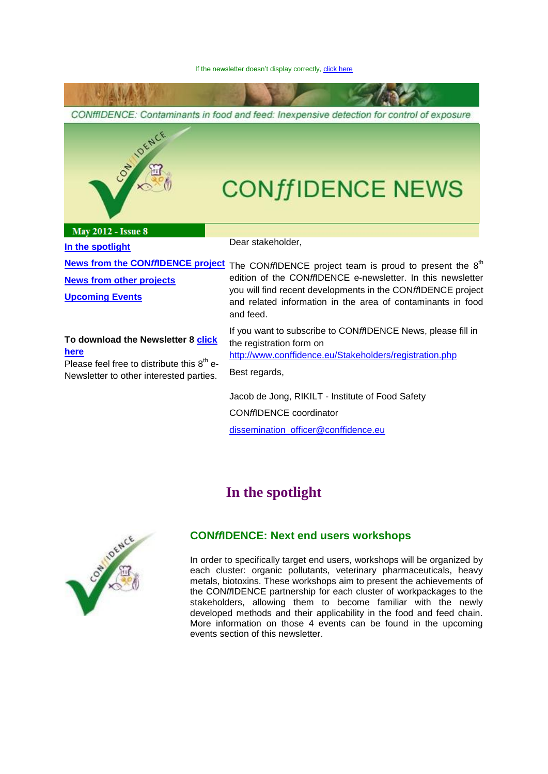CONffIDENCE: Contaminants in food and feed: Inexpensive detection for control of exposure loence **CONffIDENCE NEWS May 2012 - Issue 8** Dear stakeholder, **[In the spotlight](#page-0-0)** [News from the CON](#page-3-0)ffIDENCE project The CONffIDENCE project team is proud to present the 8<sup>th</sup> edition of the CON*ff*IDENCE e-newsletter. In this newsletter **[News from other projects](#page-8-0)** you will find recent developments in the CON*ff*IDENCE project **[Upcoming Events](#page-8-1)** and related information in the area of contaminants in food and feed. If you want to subscribe to CON*ff*IDENCE News, please fill in **To download the Newsletter 8 [click](http://www.conffidence.eu/archive/newsletter.php)**  the registration form on **[here](http://www.conffidence.eu/archive/newsletter.php)** <http://www.conffidence.eu/Stakeholders/registration.php> Please feel free to distribute this  $8<sup>th</sup>$  e-Best regards,

<span id="page-0-0"></span>Newsletter to other interested parties.

Jacob de Jong, RIKILT - Institute of Food Safety CON*ff*IDENCE coordinator [dissemination\\_officer@conffidence.eu](mailto:dissemination_officer@conffidence.eu)

# **In the spotlight**



#### **CON***ff***IDENCE: Next end users workshops**

In order to specifically target end users, workshops will be organized by each cluster: organic pollutants, veterinary pharmaceuticals, heavy metals, biotoxins. These workshops aim to present the achievements of the CON*ff*IDENCE partnership for each cluster of workpackages to the stakeholders, allowing them to become familiar with the newly developed methods and their applicability in the food and feed chain. More information on those 4 events can be found in the upcoming events section of this newsletter.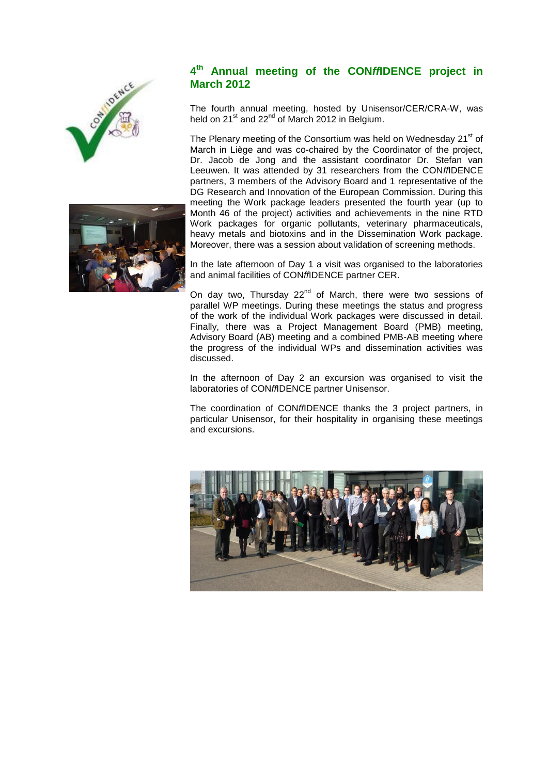



#### $A$ <sup>th</sup> **th Annual meeting of the CON***ff***IDENCE project in March 2012**

The fourth annual meeting, hosted by Unisensor/CER/CRA-W, was held on  $21^{st}$  and  $22^{nd}$  of March 2012 in Belgium.

The Plenary meeting of the Consortium was held on Wednesday 21<sup>st</sup> of March in Liège and was co-chaired by the Coordinator of the project, Dr. Jacob de Jong and the assistant coordinator Dr. Stefan van Leeuwen. It was attended by 31 researchers from the CON*ff*IDENCE partners, 3 members of the Advisory Board and 1 representative of the DG Research and Innovation of the European Commission. During this meeting the Work package leaders presented the fourth year (up to Month 46 of the project) activities and achievements in the nine RTD Work packages for organic pollutants, veterinary pharmaceuticals, heavy metals and biotoxins and in the Dissemination Work package. Moreover, there was a session about validation of screening methods.

In the late afternoon of Day 1 a visit was organised to the laboratories and animal facilities of CON*ff*IDENCE partner CER.

On day two, Thursday  $22^{nd}$  of March, there were two sessions of parallel WP meetings. During these meetings the status and progress of the work of the individual Work packages were discussed in detail. Finally, there was a Project Management Board (PMB) meeting, Advisory Board (AB) meeting and a combined PMB-AB meeting where the progress of the individual WPs and dissemination activities was discussed.

In the afternoon of Day 2 an excursion was organised to visit the laboratories of CON*ff*IDENCE partner Unisensor.

The coordination of CON*ff*IDENCE thanks the 3 project partners, in particular Unisensor, for their hospitality in organising these meetings and excursions.

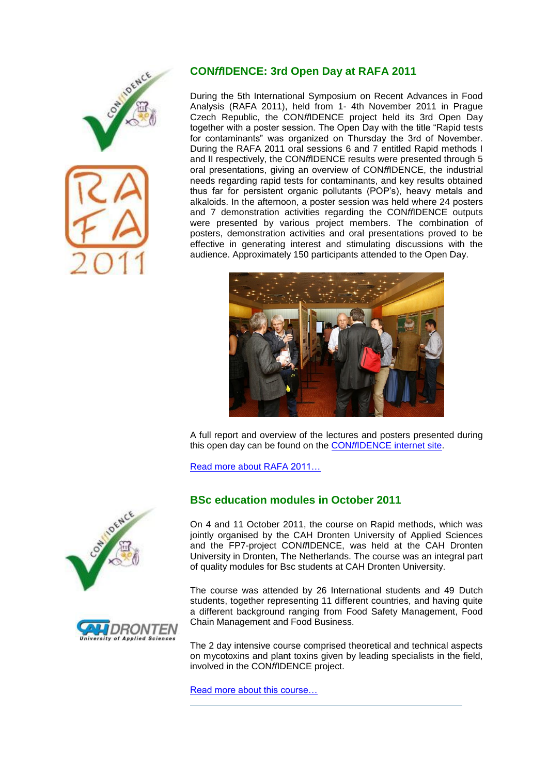

#### **CON***ff***IDENCE: 3rd Open Day at RAFA 2011**

During the 5th International Symposium on Recent Advances in Food Analysis (RAFA 2011), held from 1- 4th November 2011 in Prague Czech Republic, the CON*ff*IDENCE project held its 3rd Open Day together with a poster session. The Open Day with the title "Rapid tests for contaminants" was organized on Thursday the 3rd of November. During the RAFA 2011 oral sessions 6 and 7 entitled Rapid methods I and II respectively, the CON*ff*IDENCE results were presented through 5 oral presentations, giving an overview of CON*ff*IDENCE, the industrial needs regarding rapid tests for contaminants, and key results obtained thus far for persistent organic pollutants (POP's), heavy metals and alkaloids. In the afternoon, a poster session was held where 24 posters and 7 demonstration activities regarding the CON*ff*IDENCE outputs were presented by various project members. The combination of posters, demonstration activities and oral presentations proved to be effective in generating interest and stimulating discussions with the audience. Approximately 150 participants attended to the Open Day.



A full report and overview of the lectures and posters presented during this open day can be found on the CON*ff*[IDENCE internet](http://www.conffidence.eu/Project_output/OpenDay3.php) site.

[Read more about RAFA](http://www.rafa2011.eu/) 2011…





### **BSc education modules in October 2011**

On 4 and 11 October 2011, the course on Rapid methods, which was jointly organised by the CAH Dronten University of Applied Sciences and the FP7-project CON*ff*IDENCE, was held at the CAH Dronten University in Dronten, The Netherlands. The course was an integral part of quality modules for Bsc students at CAH Dronten University.

The course was attended by 26 International students and 49 Dutch students, together representing 11 different countries, and having quite a different background ranging from Food Safety Management, Food Chain Management and Food Business.

The 2 day intensive course comprised theoretical and technical aspects on mycotoxins and plant toxins given by leading specialists in the field, involved in the CON*ff*IDENCE project.

[Read more about this course…](http://www.conffidence.eu/Project_output/course2.php)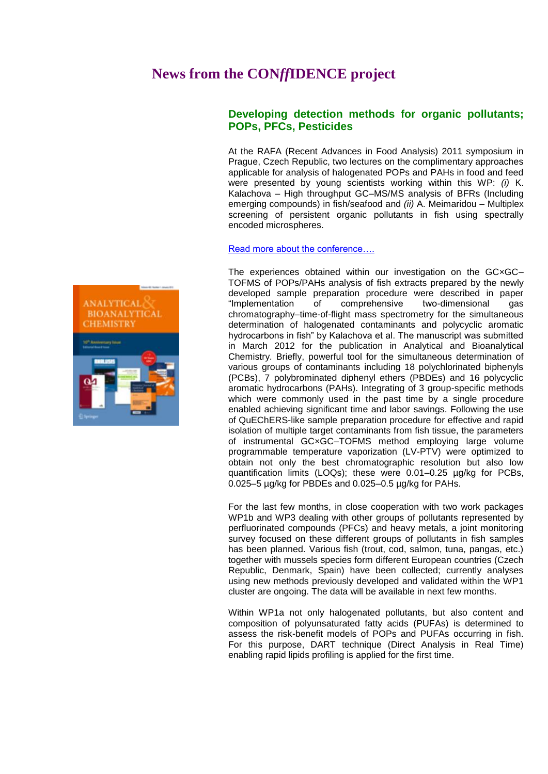## <span id="page-3-0"></span>**News from the CON***ff***IDENCE project**

#### **Developing detection methods for organic pollutants; POPs, PFCs, Pesticides**

At the RAFA (Recent Advances in Food Analysis) 2011 symposium in Prague, Czech Republic, two lectures on the complimentary approaches applicable for analysis of halogenated POPs and PAHs in food and feed were presented by young scientists working within this WP: *(i)* K. Kalachova – High throughput GC–MS/MS analysis of BFRs (Including emerging compounds) in fish/seafood and *(ii)* A. Meimaridou – Multiplex screening of persistent organic pollutants in fish using spectrally encoded microspheres.

#### [Read more about the conference….](http://www.rafa2011.eu/)

The experiences obtained within our investigation on the GC×GC– TOFMS of POPs/PAHs analysis of fish extracts prepared by the newly developed sample preparation procedure were described in paper "Implementation of comprehensive two-dimensional gas chromatography–time-of-flight mass spectrometry for the simultaneous determination of halogenated contaminants and polycyclic aromatic hydrocarbons in fish" by Kalachova et al. The manuscript was submitted in March 2012 for the publication in Analytical and Bioanalytical Chemistry. Briefly, powerful tool for the simultaneous determination of various groups of contaminants including 18 polychlorinated biphenyls (PCBs), 7 polybrominated diphenyl ethers (PBDEs) and 16 polycyclic aromatic hydrocarbons (PAHs). Integrating of 3 group-specific methods which were commonly used in the past time by a single procedure enabled achieving significant time and labor savings. Following the use of QuEChERS-like sample preparation procedure for effective and rapid isolation of multiple target contaminants from fish tissue, the parameters of instrumental GC×GC–TOFMS method employing large volume programmable temperature vaporization (LV-PTV) were optimized to obtain not only the best chromatographic resolution but also low quantification limits (LOQs); these were 0.01–0.25 µg/kg for PCBs, 0.025–5 µg/kg for PBDEs and 0.025–0.5 µg/kg for PAHs.

For the last few months, in close cooperation with two work packages WP1b and WP3 dealing with other groups of pollutants represented by perfluorinated compounds (PFCs) and heavy metals, a joint monitoring survey focused on these different groups of pollutants in fish samples has been planned. Various fish (trout, cod, salmon, tuna, pangas, etc.) together with mussels species form different European countries (Czech Republic, Denmark, Spain) have been collected; currently analyses using new methods previously developed and validated within the WP1 cluster are ongoing. The data will be available in next few months.

Within WP1a not only halogenated pollutants, but also content and composition of polyunsaturated fatty acids (PUFAs) is determined to assess the risk-benefit models of POPs and PUFAs occurring in fish. For this purpose, DART technique (Direct Analysis in Real Time) enabling rapid lipids profiling is applied for the first time.

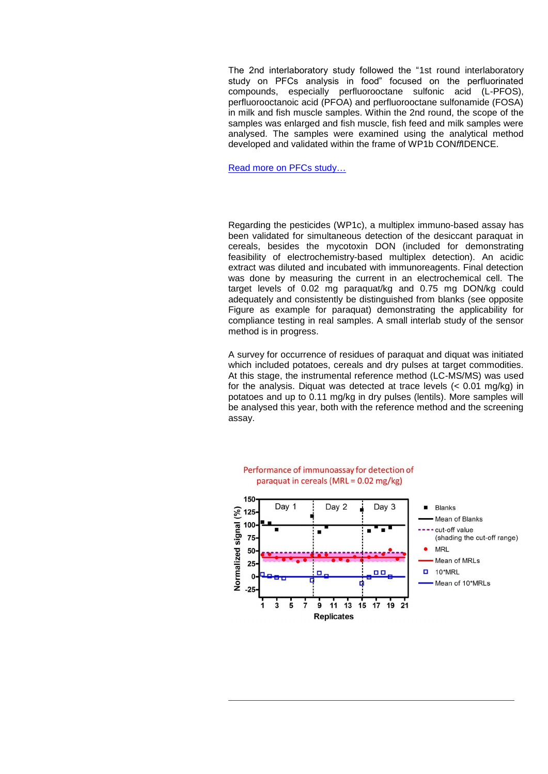The 2nd interlaboratory study followed the "1st round interlaboratory study on PFCs analysis in food" focused on the perfluorinated compounds, especially perfluorooctane sulfonic acid (L-PFOS), perfluorooctanoic acid (PFOA) and perfluorooctane sulfonamide (FOSA) in milk and fish muscle samples. Within the 2nd round, the scope of the samples was enlarged and fish muscle, fish feed and milk samples were analysed. The samples were examined using the analytical method developed and validated within the frame of WP1b CON*ff*IDENCE.

[Read more on PFCs](http://www.conffidence.eu/archive/newsletter.php?id=125) study…

Regarding the pesticides (WP1c), a multiplex immuno-based assay has been validated for simultaneous detection of the desiccant paraquat in cereals, besides the mycotoxin DON (included for demonstrating feasibility of electrochemistry-based multiplex detection). An acidic extract was diluted and incubated with immunoreagents. Final detection was done by measuring the current in an electrochemical cell. The target levels of 0.02 mg paraquat/kg and 0.75 mg DON/kg could adequately and consistently be distinguished from blanks (see opposite Figure as example for paraquat) demonstrating the applicability for compliance testing in real samples. A small interlab study of the sensor method is in progress.

A survey for occurrence of residues of paraquat and diquat was initiated which included potatoes, cereals and dry pulses at target commodities. At this stage, the instrumental reference method (LC-MS/MS) was used for the analysis. Diquat was detected at trace levels (< 0.01 mg/kg) in potatoes and up to 0.11 mg/kg in dry pulses (lentils). More samples will be analysed this year, both with the reference method and the screening assay.



#### Performance of immunoassay for detection of paraquat in cereals (MRL =  $0.02$  mg/kg)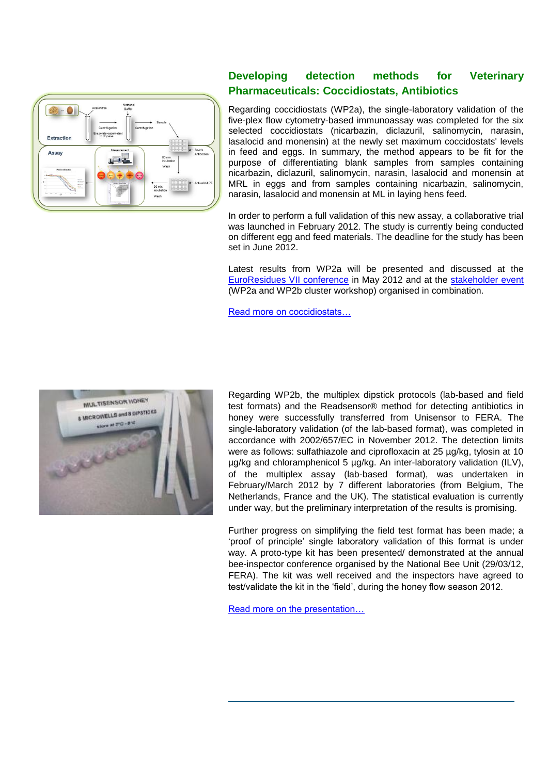

#### **Developing detection methods for Veterinary Pharmaceuticals: Coccidiostats, Antibiotics**

Regarding coccidiostats (WP2a), the single-laboratory validation of the five-plex flow cytometry-based immunoassay was completed for the six selected coccidiostats (nicarbazin, diclazuril, salinomycin, narasin, lasalocid and monensin) at the newly set maximum coccidostats' levels in feed and eggs. In summary, the method appears to be fit for the purpose of differentiating blank samples from samples containing nicarbazin, diclazuril, salinomycin, narasin, lasalocid and monensin at MRL in eggs and from samples containing nicarbazin, salinomycin, narasin, lasalocid and monensin at ML in laying hens feed.

In order to perform a full validation of this new assay, a collaborative trial was launched in February 2012. The study is currently being conducted on different egg and feed materials. The deadline for the study has been set in June 2012.

Latest results from WP2a will be presented and discussed at the [EuroResidues VII conference](http://www.euroresidue.nl/) in May 2012 and at the [stakeholder event](http://www.conffidence.eu/img/event/event_Final_flyer_07022012.pdf) (WP2a and WP2b cluster workshop) organised in combination.

[Read more on coccidiostats…](http://www.conffidence.eu/archive/newsletter.php?id=126)



Regarding WP2b, the multiplex dipstick protocols (lab-based and field test formats) and the Readsensor® method for detecting antibiotics in honey were successfully transferred from Unisensor to FERA. The single-laboratory validation (of the lab-based format), was completed in accordance with 2002/657/EC in November 2012. The detection limits were as follows: sulfathiazole and ciprofloxacin at 25 µg/kg, tylosin at 10 µg/kg and chloramphenicol 5 µg/kg. An inter-laboratory validation (ILV), of the multiplex assay (lab-based format), was undertaken in February/March 2012 by 7 different laboratories (from Belgium, The Netherlands, France and the UK). The statistical evaluation is currently under way, but the preliminary interpretation of the results is promising.

Further progress on simplifying the field test format has been made; a 'proof of principle' single laboratory validation of this format is under way. A proto-type kit has been presented/ demonstrated at the annual bee-inspector conference organised by the National Bee Unit (29/03/12, FERA). The kit was well received and the inspectors have agreed to test/validate the kit in the 'field', during the honey flow season 2012.

[Read more on the presentation…](http://www.conffidence.eu/img/page/posters/Conffidence_multisensor_test%20kit_bee-inspector_290312_Fera.pdf)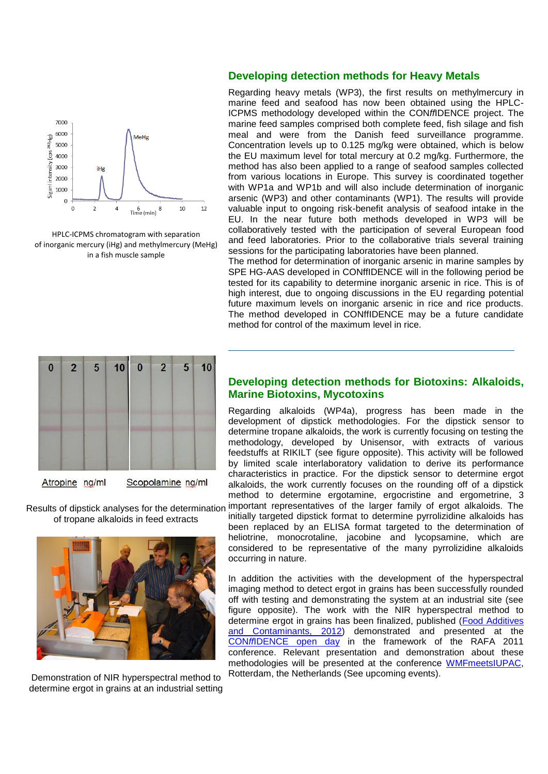

HPLC-ICPMS chromatogram with separation of inorganic mercury (iHg) and methylmercury (MeHg) in a fish muscle sample

#### **Developing detection methods for Heavy Metals**

Regarding heavy metals (WP3), the first results on methylmercury in marine feed and seafood has now been obtained using the HPLC-ICPMS methodology developed within the CON*ff*IDENCE project. The marine feed samples comprised both complete feed, fish silage and fish meal and were from the Danish feed surveillance programme. Concentration levels up to 0.125 mg/kg were obtained, which is below the EU maximum level for total mercury at 0.2 mg/kg. Furthermore, the method has also been applied to a range of seafood samples collected from various locations in Europe. This survey is coordinated together with WP1a and WP1b and will also include determination of inorganic arsenic (WP3) and other contaminants (WP1). The results will provide valuable input to ongoing risk-benefit analysis of seafood intake in the EU. In the near future both methods developed in WP3 will be collaboratively tested with the participation of several European food and feed laboratories. Prior to the collaborative trials several training sessions for the participating laboratories have been planned.

The method for determination of inorganic arsenic in marine samples by SPE HG-AAS developed in CONffIDENCE will in the following period be tested for its capability to determine inorganic arsenic in rice. This is of high interest, due to ongoing discussions in the EU regarding potential future maximum levels on inorganic arsenic in rice and rice products. The method developed in CONffIDENCE may be a future candidate method for control of the maximum level in rice.



Atropine ng/ml Scopolamine ng/ml

of tropane alkaloids in feed extracts

Demonstration of NIR hyperspectral method to determine ergot in grains at an industrial setting

#### **Developing detection methods for Biotoxins: Alkaloids, Marine Biotoxins, Mycotoxins**

Regarding alkaloids (WP4a), progress has been made in the development of dipstick methodologies. For the dipstick sensor to determine tropane alkaloids, the work is currently focusing on testing the methodology, developed by Unisensor, with extracts of various feedstuffs at RIKILT (see figure opposite). This activity will be followed by limited scale interlaboratory validation to derive its performance characteristics in practice. For the dipstick sensor to determine ergot alkaloids, the work currently focuses on the rounding off of a dipstick method to determine ergotamine, ergocristine and ergometrine, 3

Results of dipstick analyses for the determination important representatives of the larger family of ergot alkaloids. The initially targeted dipstick format to determine pyrrolizidine alkaloids has been replaced by an ELISA format targeted to the determination of heliotrine, monocrotaline, jacobine and lycopsamine, which are considered to be representative of the many pyrrolizidine alkaloids occurring in nature.

> In addition the activities with the development of the hyperspectral imaging method to detect ergot in grains has been successfully rounded off with testing and demonstrating the system at an industrial site (see figure opposite). The work with the NIR hyperspectral method to determine ergot in grains has been finalized, published [\(Food Additives](http://dx.doi.org/10.1080/19440049.2011.627573)  [and Contaminants, 2012\)](http://dx.doi.org/10.1080/19440049.2011.627573) demonstrated and presented at the CON*ff*[IDENCE open day](http://www.conffidence.eu/img/page/openday3/Demo7-ergot-vermeulen-2011.pdf) in the framework of the RAFA 2011 conference. Relevant presentation and demonstration about these methodologies will be presented at the conference [WMFmeetsIUPAC,](http://www.wmfmeetsiupac.org/html/welcome.asp) Rotterdam, the Netherlands (See upcoming events).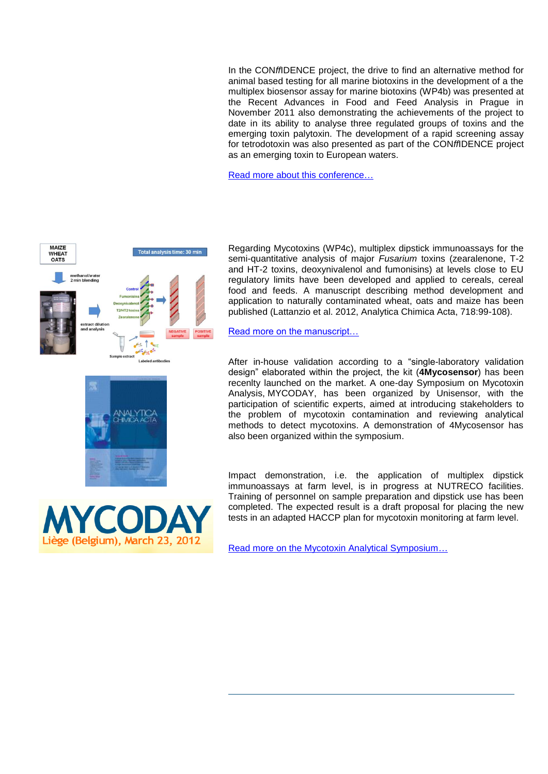In the CON*ff*IDENCE project, the drive to find an alternative method for animal based testing for all marine biotoxins in the development of a the multiplex biosensor assay for marine biotoxins (WP4b) was presented at the Recent Advances in Food and Feed Analysis in Prague in November 2011 also demonstrating the achievements of the project to date in its ability to analyse three regulated groups of toxins and the emerging toxin palytoxin. The development of a rapid screening assay for tetrodotoxin was also presented as part of the CON*ff*IDENCE project as an emerging toxin to European waters.

[Read more about this conference…](http://www.rafa2011.eu/boa.html)



Regarding Mycotoxins (WP4c), multiplex dipstick immunoassays for the semi-quantitative analysis of major *Fusarium* toxins (zearalenone, T-2 and HT-2 toxins, deoxynivalenol and fumonisins) at levels close to EU regulatory limits have been developed and applied to cereals, cereal food and feeds. A manuscript describing method development and application to naturally contaminated wheat, oats and maize has been published (Lattanzio et al. 2012, Analytica Chimica Acta, 718:99-108).

[Read more on the manuscript…](http://dx.doi.org/10.1016/j.aca.2011.12.060)

After in-house validation according to a "single-laboratory validation design" elaborated within the project, the kit (**4Mycosensor**) has been recenlty launched on the market. A one-day Symposium on Mycotoxin Analysis, MYCODAY, has been organized by Unisensor, with the participation of scientific experts, aimed at introducing stakeholders to the problem of mycotoxin contamination and reviewing analytical methods to detect mycotoxins. A demonstration of 4Mycosensor has also been organized within the symposium.

Impact demonstration, i.e. the application of multiplex dipstick immunoassays at farm level, is in progress at NUTRECO facilities. Training of personnel on sample preparation and dipstick use has been completed. The expected result is a draft proposal for placing the new tests in an adapted HACCP plan for mycotoxin monitoring at farm level.

[Read more on the Mycotoxin Analytical Symposium…](http://www.unisensor.be/mycoday/)

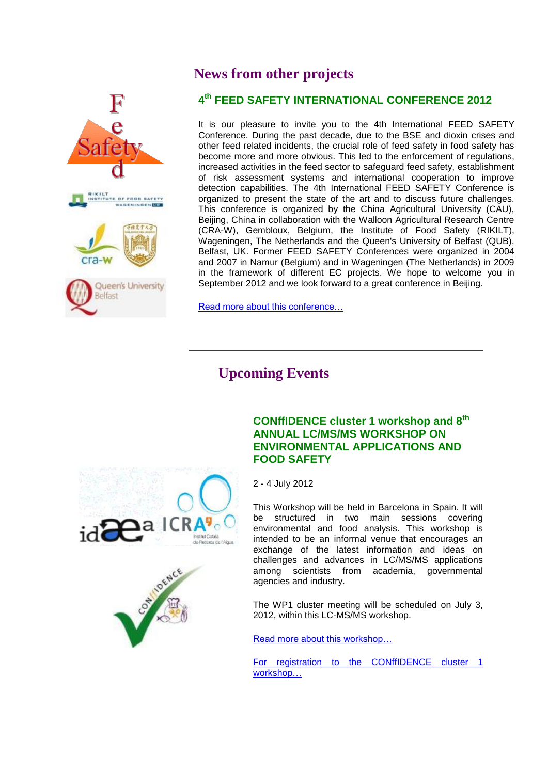<span id="page-8-0"></span>

# **News from other projects**

### **4 th FEED SAFETY INTERNATIONAL CONFERENCE 2012**

It is our pleasure to invite you to the 4th International FEED SAFETY Conference. During the past decade, due to the BSE and dioxin crises and other feed related incidents, the crucial role of feed safety in food safety has become more and more obvious. This led to the enforcement of regulations, increased activities in the feed sector to safeguard feed safety, establishment of risk assessment systems and international cooperation to improve detection capabilities. The 4th International FEED SAFETY Conference is organized to present the state of the art and to discuss future challenges. This conference is organized by the China Agricultural University (CAU), Beijing, China in collaboration with the Walloon Agricultural Research Centre (CRA-W), Gembloux, Belgium, the Institute of Food Safety (RIKILT), Wageningen, The Netherlands and the Queen's University of Belfast (QUB), Belfast, UK. Former FEED SAFETY Conferences were organized in 2004 and 2007 in Namur (Belgium) and in Wageningen (The Netherlands) in 2009 in the framework of different EC projects. We hope to welcome you in September 2012 and we look forward to a great conference in Beijing.

[Read more about this conference…](http://www.feedsafety.org/fs2012/)

# **Upcoming Events**

<span id="page-8-1"></span>



#### **CONffIDENCE cluster 1 workshop and 8th ANNUAL LC/MS/MS WORKSHOP ON ENVIRONMENTAL APPLICATIONS AND FOOD SAFETY**

2 - 4 July 2012

This Workshop will be held in Barcelona in Spain. It will be structured in two main sessions covering environmental and food analysis. This workshop is intended to be an informal venue that encourages an exchange of the latest information and ideas on challenges and advances in LC/MS/MS applications among scientists from academia, governmental agencies and industry.

The WP1 cluster meeting will be scheduled on July 3, 2012, within this LC-MS/MS workshop.

[Read more about this workshop…](http://www.idaea.csic.es/barcelona/home.htm)

[For registration to the CONffIDENCE cluster 1](http://www.conffidence.eu/img/event/event_Barcelona_2012_flyer.pdf)  [workshop…](http://www.conffidence.eu/img/event/event_Barcelona_2012_flyer.pdf)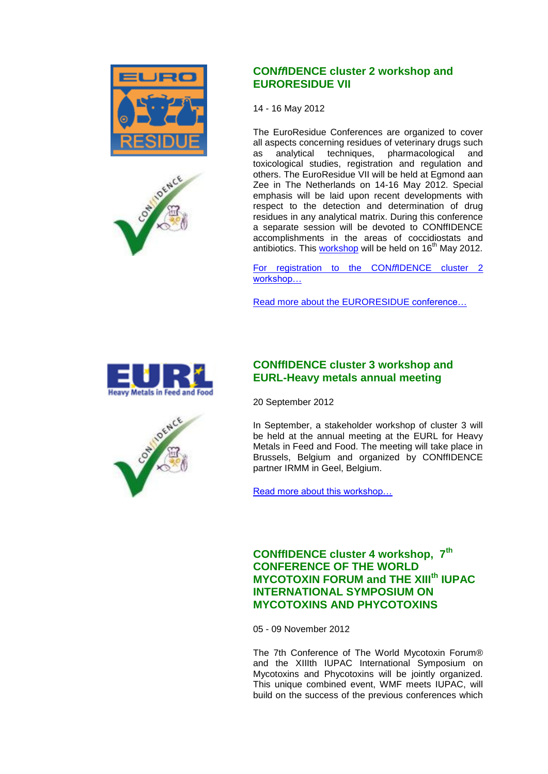



#### **CON***ff***IDENCE cluster 2 workshop and EURORESIDUE VII**

14 - 16 May 2012

The EuroResidue Conferences are organized to cover all aspects concerning residues of veterinary drugs such as analytical techniques, pharmacological and toxicological studies, registration and regulation and others. The EuroResidue VII will be held at Egmond aan Zee in The Netherlands on 14-16 May 2012. Special emphasis will be laid upon recent developments with respect to the detection and determination of drug residues in any analytical matrix. During this conference a separate session will be devoted to CONffIDENCE accomplishments in the areas of coccidiostats and antibiotics. This [workshop](http://www.conffidence.eu/img/event/event_Final_flyer_07022012.pdf) will be held on  $16<sup>th</sup>$  May 2012.

[For registration to the CON](http://www.conffidence.eu/img/event/event_Final_flyer_07022012.pdf)*ff*IDENCE cluster 2 [workshop…](http://www.conffidence.eu/img/event/event_Final_flyer_07022012.pdf)

[Read more about the EURORESIDUE conference…](http://www.euroresidue.nl/)



#### **CONffIDENCE cluster 3 workshop and EURL-Heavy metals annual meeting**

20 September 2012

In September, a stakeholder workshop of cluster 3 will be held at the annual meeting at the EURL for Heavy Metals in Feed and Food. The meeting will take place in Brussels, Belgium and organized by CONffIDENCE partner IRMM in Geel, Belgium.

[Read more about this workshop…](http://irmm.jrc.ec.europa.eu/EURLs/EURL_heavy_metals/Pages/index.aspx)

**CONffIDENCE cluster 4 workshop, 7th CONFERENCE OF THE WORLD MYCOTOXIN FORUM and THE XIIIth IUPAC INTERNATIONAL SYMPOSIUM ON MYCOTOXINS AND PHYCOTOXINS**

05 - 09 November 2012

The 7th Conference of The World Mycotoxin Forum® and the XIIIth IUPAC International Symposium on Mycotoxins and Phycotoxins will be jointly organized. This unique combined event, WMF meets IUPAC, will build on the success of the previous conferences which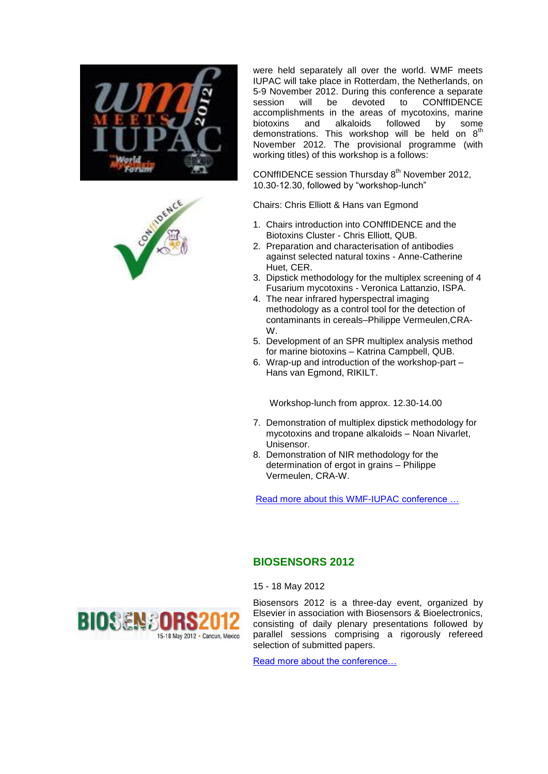



were held separately all over the world. WMF meets IUPAC will take place in Rotterdam, the Netherlands, on 5-9 November 2012. During this conference a separate<br>session will be devoted to CONffIDENCE devoted to CONffIDENCE accomplishments in the areas of mycotoxins, marine biotoxins and alkaloids followed by some demonstrations. This workshop will be held on  $8<sup>th</sup>$ November 2012. The provisional programme (with working titles) of this workshop is a follows:

CONffIDENCE session Thursday 8<sup>th</sup> November 2012, 10.30-12.30, followed by "workshop-lunch"

Chairs: Chris Elliott & Hans van Egmond

- 1. Chairs introduction into CONffIDENCE and the Biotoxins Cluster - Chris Elliott, QUB.
- 2. Preparation and characterisation of antibodies against selected natural toxins - Anne-Catherine Huet, CER.
- 3. Dipstick methodology for the multiplex screening of 4 Fusarium mycotoxins - Veronica Lattanzio, ISPA.
- 4. The near infrared hyperspectral imaging methodology as a control tool for the detection of contaminants in cereals–Philippe Vermeulen,CRA-W.
- 5. Development of an SPR multiplex analysis method for marine biotoxins – Katrina Campbell, QUB.
- 6. Wrap-up and introduction of the workshop-part Hans van Egmond, RIKILT.

Workshop-lunch from approx. 12.30-14.00

- 7. Demonstration of multiplex dipstick methodology for mycotoxins and tropane alkaloids – Noan Nivarlet, Unisensor.
- 8. Demonstration of NIR methodology for the determination of ergot in grains – Philippe Vermeulen, CRA-W.

[Read more about this WMF-IUPAC conference …](http://www.wmfmeetsiupac.org/)

#### **BIOSENSORS 2012**

15 - 18 May 2012



Biosensors 2012 is a three-day event, organized by Elsevier in association with Biosensors & Bioelectronics, consisting of daily plenary presentations followed by parallel sessions comprising a rigorously refereed selection of submitted papers.

[Read more about the conference…](http://www.biosensors-congress.elsevier.com/index.html)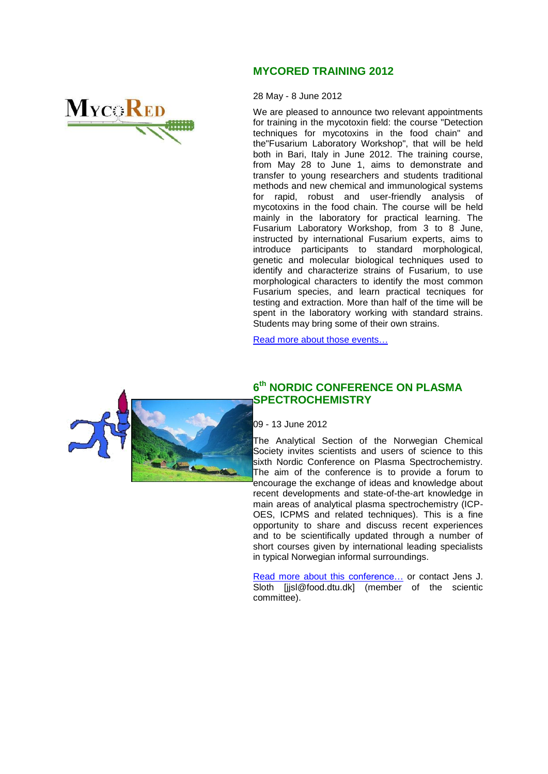# **MYCORED**

#### **MYCORED TRAINING 2012**

28 May - 8 June 2012

We are pleased to announce two relevant appointments for training in the mycotoxin field: the course "Detection techniques for mycotoxins in the food chain" and the"Fusarium Laboratory Workshop", that will be held both in Bari, Italy in June 2012. The training course, from May 28 to June 1, aims to demonstrate and transfer to young researchers and students traditional methods and new chemical and immunological systems for rapid, robust and user-friendly analysis of mycotoxins in the food chain. The course will be held mainly in the laboratory for practical learning. The Fusarium Laboratory Workshop, from 3 to 8 June, instructed by international Fusarium experts, aims to introduce participants to standard morphological, genetic and molecular biological techniques used to identify and characterize strains of Fusarium, to use morphological characters to identify the most common Fusarium species, and learn practical tecniques for testing and extraction. More than half of the time will be spent in the laboratory working with standard strains. Students may bring some of their own strains.

[Read more about those events…](http://www.mycored.eu/page/upcoming_events/)



#### **6 th NORDIC CONFERENCE ON PLASMA SPECTROCHEMISTRY**

09 - 13 June 2012

The Analytical Section of the Norwegian Chemical Society invites scientists and users of science to this sixth Nordic Conference on Plasma Spectrochemistry. The aim of the conference is to provide a forum to encourage the exchange of ideas and knowledge about recent developments and state-of-the-art knowledge in main areas of analytical plasma spectrochemistry (ICP-OES, ICPMS and related techniques). This is a fine opportunity to share and discuss recent experiences and to be scientifically updated through a number of short courses given by international leading specialists in typical Norwegian informal surroundings.

[Read more about this](http://www.stamiweber.no/plasma2006/) conference… or contact Jens J. Sloth [jjsl@food.dtu.dk] (member of the scientic committee).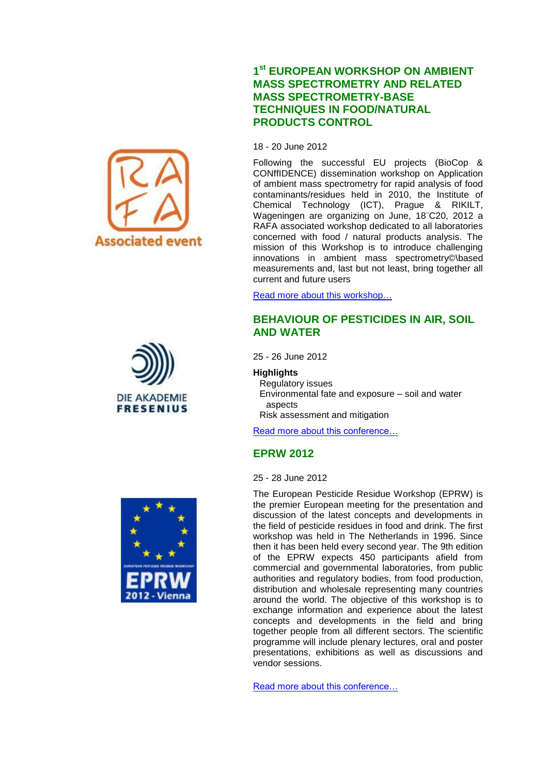





#### **1 st EUROPEAN WORKSHOP ON AMBIENT MASS SPECTROMETRY AND RELATED MASS SPECTROMETRY-BASE TECHNIQUES IN FOOD/NATURAL PRODUCTS CONTROL**

18 - 20 June 2012

Following the successful EU projects (BioCop & CONffIDENCE) dissemination workshop on Application of ambient mass spectrometry for rapid analysis of food contaminants/residues held in 2010, the Institute of Chemical Technology (ICT), Prague & RIKILT, Wageningen are organizing on June, 18¨C20, 2012 a RAFA associated workshop dedicated to all laboratories concerned with food / natural products analysis. The mission of this Workshop is to introduce challenging innovations in ambient mass spectrometry©\based measurements and, last but not least, bring together all current and future users

[Read more about this workshop…](http://www.conffidence.eu/img/event/event_AmbientMS_workshop.pdf)

#### **BEHAVIOUR OF PESTICIDES IN AIR, SOIL AND WATER**

25 - 26 June 2012

**Highlights**

Regulatory issues Environmental fate and exposure – soil and water aspects

Risk assessment and mitigation

[Read more about this conference…](http://www.akademie-fresenius.de/english/konferenz/output.php?thema=5&kurs=295)

### **EPRW 2012**

25 - 28 June 2012

The European Pesticide Residue Workshop (EPRW) is the premier European meeting for the presentation and discussion of the latest concepts and developments in the field of pesticide residues in food and drink. The first workshop was held in The Netherlands in 1996. Since then it has been held every second year. The 9th edition of the EPRW expects 450 participants afield from commercial and governmental laboratories, from public authorities and regulatory bodies, from food production, distribution and wholesale representing many countries around the world. The objective of this workshop is to exchange information and experience about the latest concepts and developments in the field and bring together people from all different sectors. The scientific programme will include plenary lectures, oral and poster presentations, exhibitions as well as discussions and vendor sessions.

[Read more about this conference…](http://www.ages.at/ages/eprw2012/)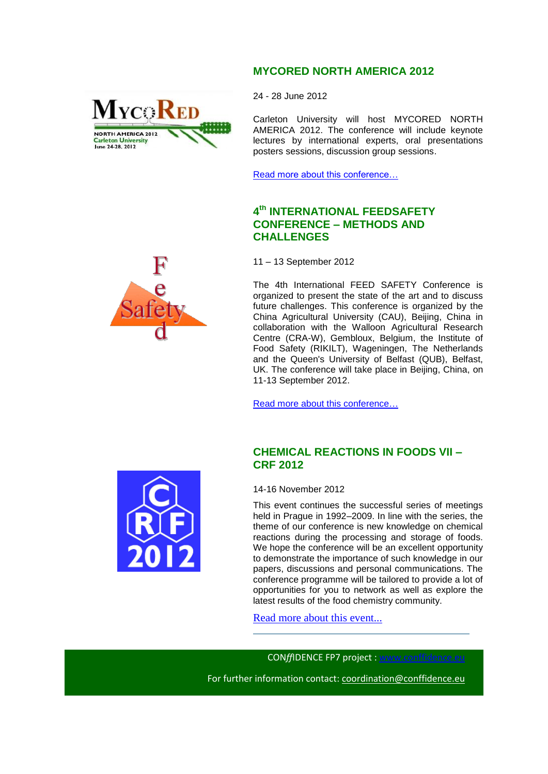#### **MYCORED NORTH AMERICA 2012**

24 - 28 June 2012

Carleton University will host MYCORED NORTH AMERICA 2012. The conference will include keynote lectures by international experts, oral presentations posters sessions, discussion group sessions.

[Read more about this conference…](http://mycored.ca/)

#### **4 th INTERNATIONAL FEEDSAFETY CONFERENCE – METHODS AND CHALLENGES**

11 – 13 September 2012

The 4th International FEED SAFETY Conference is organized to present the state of the art and to discuss future challenges. This conference is organized by the China Agricultural University (CAU), Beijing, China in collaboration with the Walloon Agricultural Research Centre (CRA-W), Gembloux, Belgium, the Institute of Food Safety (RIKILT), Wageningen, The Netherlands and the Queen's University of Belfast (QUB), Belfast, UK. The conference will take place in Beijing, China, on 11-13 September 2012.

[Read more about this](http://www.feedsafety.org/fs2012/) conference…

#### **CHEMICAL REACTIONS IN FOODS VII – CRF 2012**

14-16 November 2012

This event continues the successful series of meetings held in Prague in 1992–2009. In line with the series, the theme of our conference is new knowledge on chemical reactions during the processing and storage of foods. We hope the conference will be an excellent opportunity to demonstrate the importance of such knowledge in our papers, discussions and personal communications. The conference programme will be tailored to provide a lot of opportunities for you to network as well as explore the latest results of the food chemistry community.

[Read more about this event...](http://www.crf2012.eu/index.html)

CON*ffIDENCE FP7 project : www.conffider* 

For further information contact: [coordination@conffidence.eu](mailto:coordination@conffidence.eu) 





**MYCORED** 

**NORTH AMERICA 2012** Carleton University<br>June 24-28, 2012